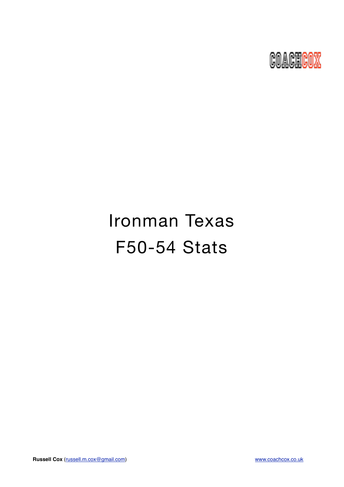

# Ironman Texas F50-54 Stats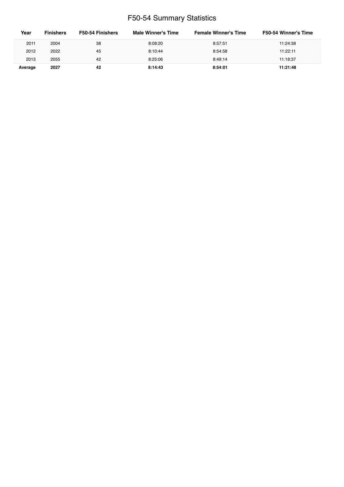# F50-54 Summary Statistics

| Year    | <b>Finishers</b> | F50-54 Finishers | Male Winner's Time | <b>Female Winner's Time</b> | <b>F50-54 Winner's Time</b> |
|---------|------------------|------------------|--------------------|-----------------------------|-----------------------------|
| 2011    | 2004             | 38               | 8:08:20            | 8:57:51                     | 11:24:38                    |
| 2012    | 2022             | 45               | 8:10:44            | 8:54:58                     | 11:22:11                    |
| 2013    | 2055             | 42               | 8:25:06            | 8:49:14                     | 11:18:37                    |
| Average | 2027             | 42               | 8:14:43            | 8:54:01                     | 11:21:48                    |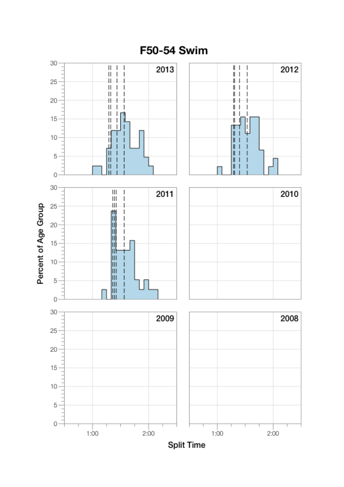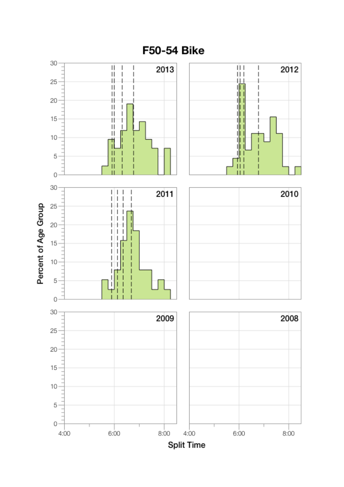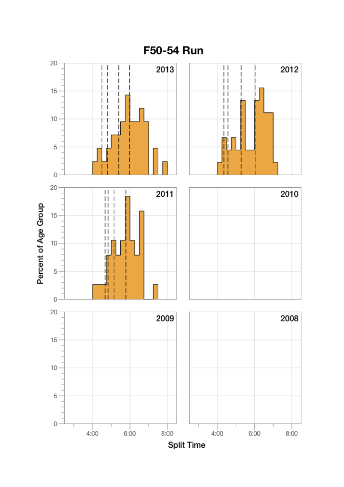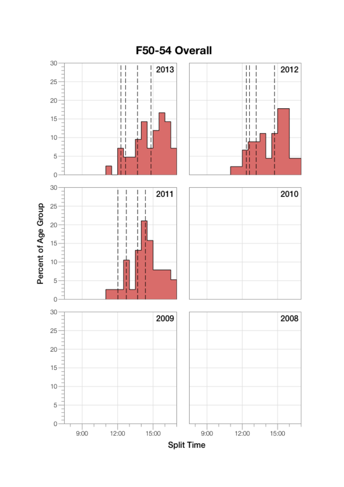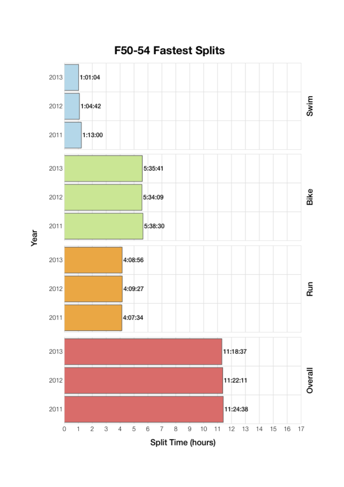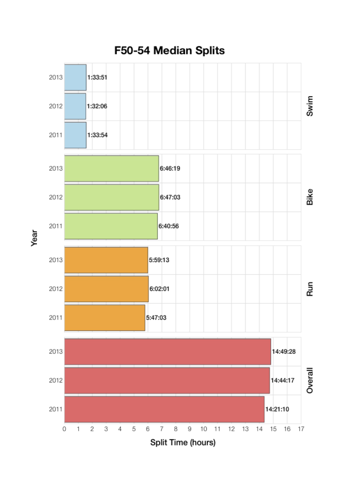

Year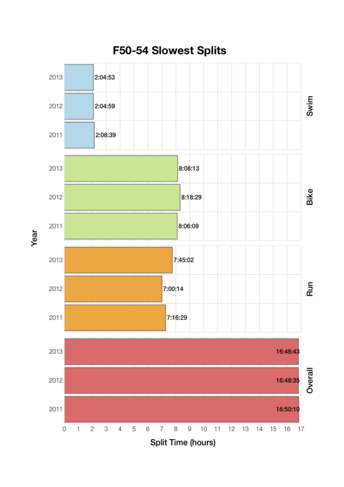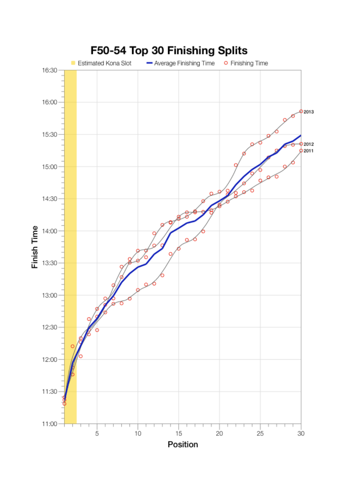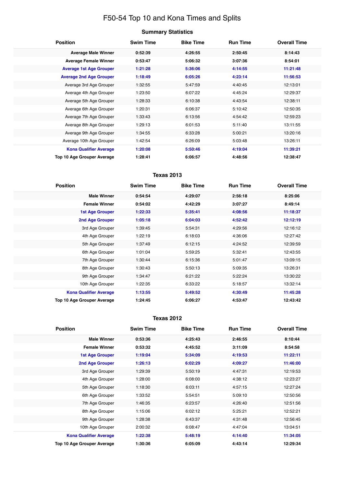# F50-54 Top 10 and Kona Times and Splits

## **Summary Statistics**

| <b>Position</b>                   | <b>Swim Time</b> | <b>Bike Time</b> | <b>Run Time</b> | <b>Overall Time</b> |
|-----------------------------------|------------------|------------------|-----------------|---------------------|
| <b>Average Male Winner</b>        | 0:52:39          | 4:26:55          | 2:50:45         | 8:14:43             |
| <b>Average Female Winner</b>      | 0:53:47          | 5:06:32          | 3:07:36         | 8:54:01             |
| <b>Average 1st Age Grouper</b>    | 1:21:28          | 5:36:06          | 4:14:55         | 11:21:48            |
| <b>Average 2nd Age Grouper</b>    | 1:18:49          | 6:05:26          | 4:23:14         | 11:56:53            |
| Average 3rd Age Grouper           | 1:32:55          | 5:47:59          | 4:40:45         | 12:13:01            |
| Average 4th Age Grouper           | 1:23:50          | 6:07:22          | 4:45:24         | 12:29:37            |
| Average 5th Age Grouper           | 1:28:33          | 6:10:38          | 4:43:54         | 12:38:11            |
| Average 6th Age Grouper           | 1:20:31          | 6:06:37          | 5:10:42         | 12:50:35            |
| Average 7th Age Grouper           | 1:33:43          | 6:13:56          | 4:54:42         | 12:59:23            |
| Average 8th Age Grouper           | 1:29:13          | 6:01:53          | 5:11:40         | 13:11:55            |
| Average 9th Age Grouper           | 1:34:55          | 6:33:28          | 5:00:21         | 13:20:16            |
| Average 10th Age Grouper          | 1:42:54          | 6:26:09          | 5:03:48         | 13:26:11            |
| <b>Kona Qualifier Average</b>     | 1:20:08          | 5:50:46          | 4:19:04         | 11:39:21            |
| <b>Top 10 Age Grouper Average</b> | 1:28:41          | 6:06:57          | 4:48:56         | 12:38:47            |

## **Texas 2013**

| <b>Position</b>               | <b>Swim Time</b> | <b>Bike Time</b> | <b>Run Time</b> | <b>Overall Time</b> |
|-------------------------------|------------------|------------------|-----------------|---------------------|
| <b>Male Winner</b>            | 0:54:54          | 4:29:07          | 2:56:18         | 8:25:06             |
| <b>Female Winner</b>          | 0:54:02          | 4:42:29          | 3:07:27         | 8:49:14             |
| <b>1st Age Grouper</b>        | 1:22:33          | 5:35:41          | 4:08:56         | 11:18:37            |
| 2nd Age Grouper               | 1:05:18          | 6:04:03          | 4:52:42         | 12:12:19            |
| 3rd Age Grouper               | 1:39:45          | 5:54:31          | 4:29:56         | 12:16:12            |
| 4th Age Grouper               | 1:22:19          | 6:18:03          | 4:36:06         | 12:27:42            |
| 5th Age Grouper               | 1:37:49          | 6:12:15          | 4:24:52         | 12:39:59            |
| 6th Age Grouper               | 1:01:04          | 5:59:25          | 5:32:41         | 12:43:55            |
| 7th Age Grouper               | 1:30:44          | 6:15:36          | 5:01:47         | 13:09:15            |
| 8th Age Grouper               | 1:30:43          | 5:50:13          | 5:09:35         | 13:26:31            |
| 9th Age Grouper               | 1:34:47          | 6:21:22          | 5:22:24         | 13:30:22            |
| 10th Age Grouper              | 1:22:35          | 6:33:22          | 5:18:57         | 13:32:14            |
| <b>Kona Qualifier Average</b> | 1:13:55          | 5:49:52          | 4:30:49         | 11:45:28            |
| Top 10 Age Grouper Average    | 1:24:45          | 6:06:27          | 4:53:47         | 12:43:42            |

#### **Texas 2012**

| <b>Position</b>                   | <b>Swim Time</b> | <b>Bike Time</b> | <b>Run Time</b> | <b>Overall Time</b> |
|-----------------------------------|------------------|------------------|-----------------|---------------------|
| <b>Male Winner</b>                | 0:53:36          | 4:25:43          | 2:46:55         | 8:10:44             |
| <b>Female Winner</b>              | 0:53:32          | 4:45:52          | 3:11:09         | 8:54:58             |
| <b>1st Age Grouper</b>            | 1:19:04          | 5:34:09          | 4:19:53         | 11:22:11            |
| <b>2nd Age Grouper</b>            | 1:26:13          | 6:02:29          | 4:09:27         | 11:46:00            |
| 3rd Age Grouper                   | 1:29:39          | 5:50:19          | 4:47:31         | 12:19:53            |
| 4th Age Grouper                   | 1:28:00          | 6:08:00          | 4:38:12         | 12:23:27            |
| 5th Age Grouper                   | 1:18:30          | 6:03:11          | 4:57:15         | 12:27:24            |
| 6th Age Grouper                   | 1:33:52          | 5:54:51          | 5:09:10         | 12:50:56            |
| 7th Age Grouper                   | 1:46:35          | 6:23:57          | 4:26:40         | 12:51:56            |
| 8th Age Grouper                   | 1:15:06          | 6:02:12          | 5:25:21         | 12:52:21            |
| 9th Age Grouper                   | 1:28:38          | 6:43:37          | 4:31:48         | 12:56:45            |
| 10th Age Grouper                  | 2:00:32          | 6:08:47          | 4:47:04         | 13:04:51            |
| <b>Kona Qualifier Average</b>     | 1:22:38          | 5:48:19          | 4:14:40         | 11:34:05            |
| <b>Top 10 Age Grouper Average</b> | 1:30:36          | 6:05:09          | 4:43:14         | 12:29:34            |